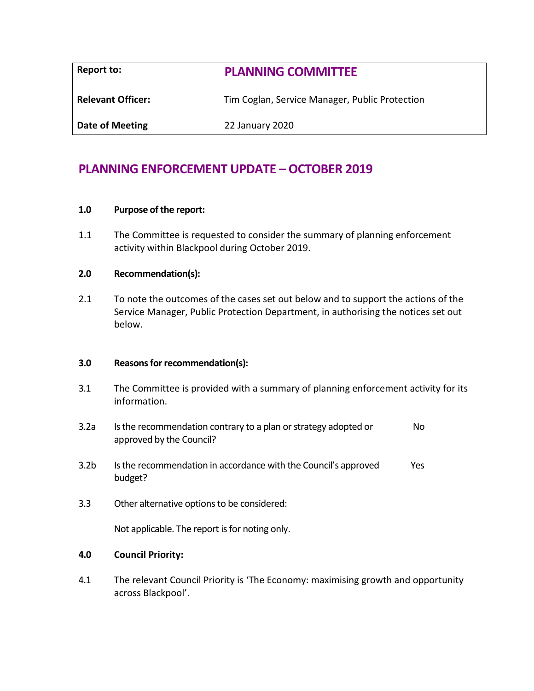| Report to:               | <b>PLANNING COMMITTEE</b>                      |  |
|--------------------------|------------------------------------------------|--|
| <b>Relevant Officer:</b> | Tim Coglan, Service Manager, Public Protection |  |
| Date of Meeting          | 22 January 2020                                |  |

# **PLANNING ENFORCEMENT UPDATE – OCTOBER 2019**

## **1.0 Purpose of the report:**

1.1 The Committee is requested to consider the summary of planning enforcement activity within Blackpool during October 2019.

## **2.0 Recommendation(s):**

2.1 To note the outcomes of the cases set out below and to support the actions of the Service Manager, Public Protection Department, in authorising the notices set out below.

## **3.0 Reasons for recommendation(s):**

- 3.1 The Committee is provided with a summary of planning enforcement activity for its information.
- 3.2a Is the recommendation contrary to a plan or strategy adopted or approved by the Council? No
- 3.2b Is the recommendation in accordance with the Council's approved budget? Yes
- 3.3 Other alternative options to be considered:

Not applicable. The report is for noting only.

## **4.0 Council Priority:**

4.1 The relevant Council Priority is 'The Economy: maximising growth and opportunity across Blackpool'.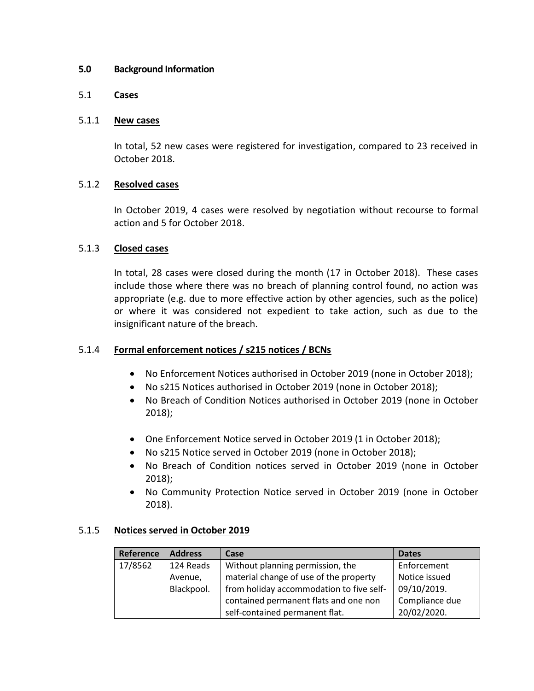## **5.0 Background Information**

## 5.1 **Cases**

## 5.1.1 **New cases**

In total, 52 new cases were registered for investigation, compared to 23 received in October 2018.

# 5.1.2 **Resolved cases**

In October 2019, 4 cases were resolved by negotiation without recourse to formal action and 5 for October 2018.

# 5.1.3 **Closed cases**

In total, 28 cases were closed during the month (17 in October 2018). These cases include those where there was no breach of planning control found, no action was appropriate (e.g. due to more effective action by other agencies, such as the police) or where it was considered not expedient to take action, such as due to the insignificant nature of the breach.

# 5.1.4 **Formal enforcement notices / s215 notices / BCNs**

- No Enforcement Notices authorised in October 2019 (none in October 2018);
- No s215 Notices authorised in October 2019 (none in October 2018);
- No Breach of Condition Notices authorised in October 2019 (none in October 2018);
- One Enforcement Notice served in October 2019 (1 in October 2018);
- No s215 Notice served in October 2019 (none in October 2018);
- No Breach of Condition notices served in October 2019 (none in October 2018);
- No Community Protection Notice served in October 2019 (none in October 2018).

# 5.1.5 **Notices served in October 2019**

| Reference | <b>Address</b> | Case                                     | <b>Dates</b>   |
|-----------|----------------|------------------------------------------|----------------|
| 17/8562   | 124 Reads      | Without planning permission, the         | Enforcement    |
|           | Avenue,        | material change of use of the property   | Notice issued  |
|           | Blackpool.     | from holiday accommodation to five self- | 09/10/2019.    |
|           |                | contained permanent flats and one non    | Compliance due |
|           |                | self-contained permanent flat.           | 20/02/2020.    |